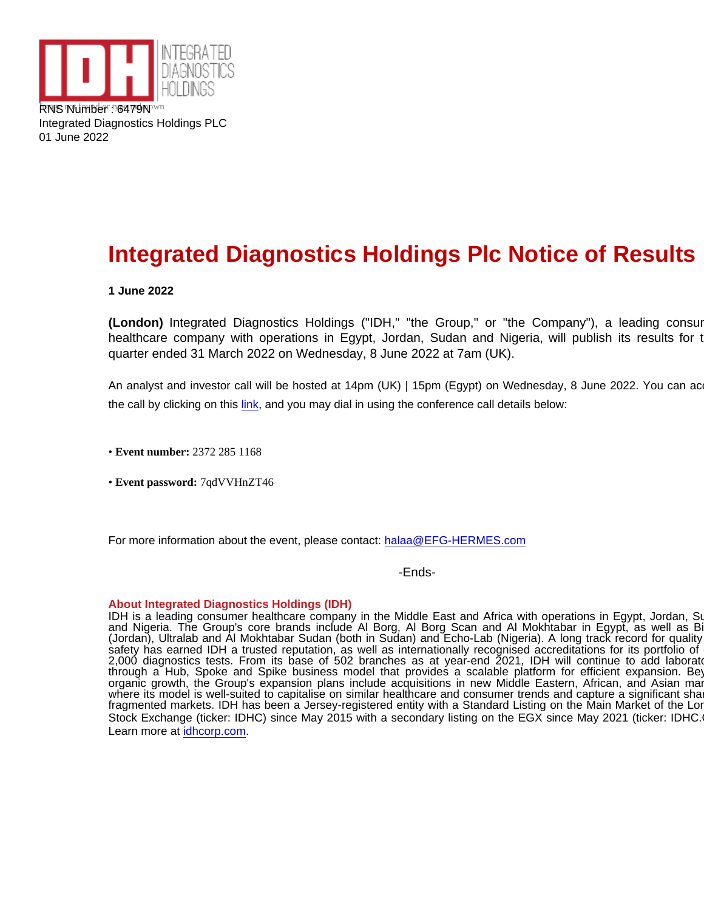RNS NUMBER OF 6479NKnown Integrated Diagnostics Holdings PLC 01 June 2022

## Integrated Diagnostics Holdings Plc Notice of Results

1 June 2022

(London) Integrated Diagnostics Holdings ("IDH," "the Group," or "the Company"), a leading consur healthcare company with operations in Egypt, Jordan, Sudan and Nigeria, will publish its results for t quarter ended 31 March 2022 on Wednesday, 8 June 2022 at 7am (UK).

An analyst and investor call will be hosted at 14pm (UK) | 15pm (Egypt) on Wednesday, 8 June 2022. You can ac the call by clicking on this [link,](https://efghermesevents.webex.com/mw3300/mywebex/default.do?nomenu=true&siteurl=efghermesevents&service=6&rnd=0.8311726298096395&main_url=https://efghermesevents.webex.com/ec3300/eventcenter/event/eventAction.do?theAction=detail&&&EMK=4832534b00000005f3a1ec673218184f2342551b78f0455b76d4e322cdbd659eff0cc8c2dca46a14&siteurl=efghermesevents&confViewID=228880326171036429&encryptTicket=SDJTSwAAAAXqpAKNxKlVjlm74x4NtDgQscJH0APGJ4r3RvHiIjClSA2&) and you may dial in using the conference call details below:

• Event number: 2372 285 1168

• Event password:7qdVVHnZT46

For more information about the event, please contact: [halaa@EFG-HERMES.com](mailto:halaa@EFG-HERMES.com)

-Ends-

## About Integrated Diagnostics Holdings (IDH)

IDH is a leading consumer healthcare company in the Middle East and Africa with operations in Egypt, Jordan, Su and Nigeria. The Group's core brands include Al Borg, Al Borg Scan and Al Mokhtabar in Egypt, as well as Bi (Jordan), Ultralab and Al Mokhtabar Sudan (both in Sudan) and Echo-Lab (Nigeria). A long track record for quality safety has earned IDH a trusted reputation, as well as internationally recognised accreditations for its portfolio of 2,000 diagnostics tests. From its base of 502 branches as at year-end 2021, IDH will continue to add laborato through a Hub, Spoke and Spike business model that provides a scalable platform for efficient expansion. Bey organic growth, the Group's expansion plans include acquisitions in new Middle Eastern, African, and Asian mar where its model is well-suited to capitalise on similar healthcare and consumer trends and capture a significant shai fragmented markets. IDH has been a Jersey-registered entity with a Standard Listing on the Main Market of the Lor Stock Exchange (ticker: IDHC) since May 2015 with a secondary listing on the EGX since May 2021 (ticker: IDHC. Learn more at [idhcorp.com.](http://idhcorp.com)